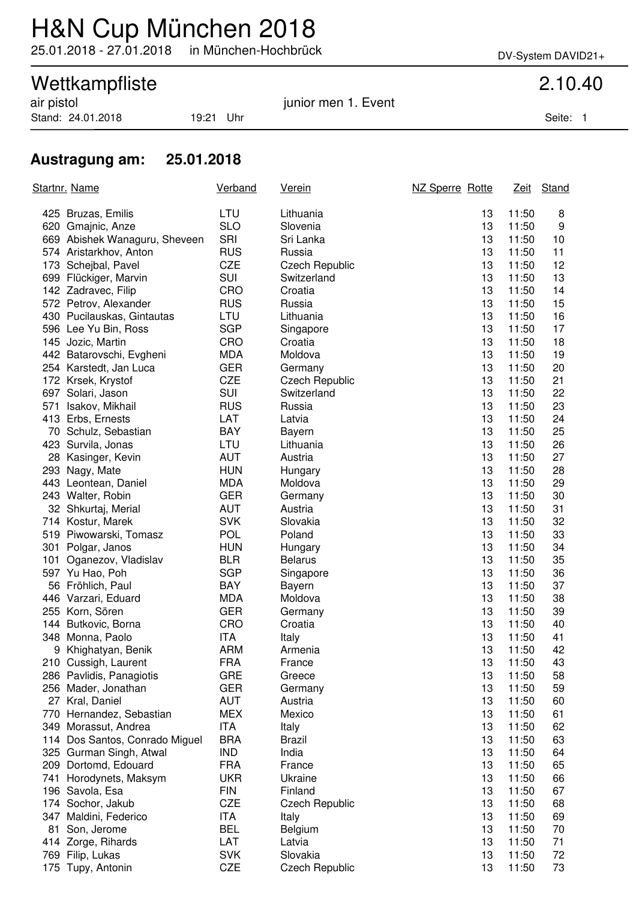# H&N Cup München 2018

25.01.2018 - 27.01.2018 in München-Hochbrück DV-System DAVID21+

## Wettkampfliste 2.10.40

Stand: 24.01.2018 19:21 Uhr Seite: 1

air pistol in the same state of the set of the set of the set of the set of the set of the set of the set of t

#### **Austragung am: 25.01.2018**

| Startnr. Name |                                | Verband    | <u>Verein</u>         | NZ Sperre Rotte |       | Zeit Stand |
|---------------|--------------------------------|------------|-----------------------|-----------------|-------|------------|
|               | 425 Bruzas, Emilis             | LTU        | Lithuania             | 13              | 11:50 | 8          |
|               | 620 Gmajnic, Anze              | <b>SLO</b> | Slovenia              | 13              | 11:50 | 9          |
|               | 669 Abishek Wanaguru, Sheveen  | SRI        | Sri Lanka             | 13              | 11:50 | 10         |
|               | 574 Aristarkhov, Anton         | <b>RUS</b> | Russia                | 13              | 11:50 | 11         |
|               | 173 Schejbal, Pavel            | <b>CZE</b> | <b>Czech Republic</b> | 13              | 11:50 | 12         |
|               | 699 Flückiger, Marvin          | SUI        | Switzerland           | 13              | 11:50 | 13         |
|               | 142 Zadravec, Filip            | CRO        | Croatia               | 13              | 11:50 | 14         |
|               | 572 Petrov, Alexander          | <b>RUS</b> | Russia                | 13              | 11:50 | 15         |
|               | 430 Pucilauskas, Gintautas     | LTU        | Lithuania             | 13              | 11:50 | 16         |
|               | 596 Lee Yu Bin, Ross           | <b>SGP</b> | Singapore             | 13              | 11:50 | 17         |
|               | 145 Jozic, Martin              | CRO        | Croatia               | 13              | 11:50 | 18         |
|               | 442 Batarovschi, Evgheni       | <b>MDA</b> | Moldova               | 13              | 11:50 | 19         |
|               | 254 Karstedt, Jan Luca         | <b>GER</b> | Germany               | 13              | 11:50 | 20         |
|               | 172 Krsek, Krystof             | <b>CZE</b> | <b>Czech Republic</b> | 13              | 11:50 | 21         |
|               | 697 Solari, Jason              | SUI        | Switzerland           | 13              | 11:50 | 22         |
|               | 571 Isakov, Mikhail            | <b>RUS</b> | Russia                | 13              | 11:50 | 23         |
|               | 413 Erbs, Ernests              | LAT        | Latvia                | 13              | 11:50 | 24         |
|               | 70 Schulz, Sebastian           | <b>BAY</b> | Bayern                | 13              | 11:50 | 25         |
|               | 423 Survila, Jonas             | LTU        | Lithuania             | 13              | 11:50 | 26         |
|               | 28 Kasinger, Kevin             | <b>AUT</b> | Austria               | 13              | 11:50 | 27         |
|               | 293 Nagy, Mate                 | <b>HUN</b> | Hungary               | 13              | 11:50 | 28         |
|               | 443 Leontean, Daniel           | <b>MDA</b> | Moldova               | 13              | 11:50 | 29         |
|               | 243 Walter, Robin              | <b>GER</b> | Germany               | 13              | 11:50 | 30         |
|               | 32 Shkurtaj, Merial            | <b>AUT</b> | Austria               | 13              | 11:50 | 31         |
|               | 714 Kostur, Marek              | <b>SVK</b> | Slovakia              | 13              | 11:50 | 32         |
|               | 519 Piwowarski, Tomasz         | <b>POL</b> | Poland                | 13              | 11:50 | 33         |
|               | 301 Polgar, Janos              | <b>HUN</b> | Hungary               | 13              | 11:50 | 34         |
|               | 101 Oganezov, Vladislav        | <b>BLR</b> | <b>Belarus</b>        | 13              | 11:50 | 35         |
|               | 597 Yu Hao, Poh                | <b>SGP</b> | Singapore             | 13              | 11:50 | 36         |
|               | 56 Fröhlich, Paul              | <b>BAY</b> | Bayern                | 13              | 11:50 | 37         |
|               | 446 Varzari, Eduard            | <b>MDA</b> | Moldova               | 13              | 11:50 | 38         |
|               | 255 Korn, Sören                | <b>GER</b> | Germany               | 13              | 11:50 | 39         |
|               | 144 Butkovic, Borna            | CRO        | Croatia               | 13              | 11:50 | 40         |
|               | 348 Monna, Paolo               | <b>ITA</b> | Italy                 | 13              | 11:50 | 41         |
|               | 9 Khighatyan, Benik            | <b>ARM</b> | Armenia               | 13              | 11:50 | 42         |
|               | 210 Cussigh, Laurent           | <b>FRA</b> | France                | 13              | 11:50 | 43         |
|               | 286 Pavlidis, Panagiotis       | <b>GRE</b> | Greece                | 13              | 11:50 | 58         |
|               | 256 Mader, Jonathan            | <b>GER</b> | Germany               | 13              | 11:50 | 59         |
|               | 27 Kral, Daniel                | <b>AUT</b> | Austria               | 13              | 11:50 | 60         |
|               | 770 Hernandez, Sebastian       | <b>MEX</b> | Mexico                | 13              | 11:50 | 61         |
|               | 349 Morassut, Andrea           | ITA        | Italy                 | 13              | 11:50 | 62         |
|               | 114 Dos Santos, Conrado Miguel | <b>BRA</b> | <b>Brazil</b>         | 13              | 11:50 | 63         |
|               | 325 Gurman Singh, Atwal        | <b>IND</b> | India                 | 13              | 11:50 | 64         |
|               | 209 Dortomd, Edouard           | <b>FRA</b> | France                | 13              | 11:50 | 65         |
|               | 741 Horodynets, Maksym         | <b>UKR</b> | Ukraine               | 13              | 11:50 | 66         |
|               | 196 Savola, Esa                | <b>FIN</b> | Finland               | 13              | 11:50 | 67         |
|               | 174 Sochor, Jakub              | <b>CZE</b> | <b>Czech Republic</b> | 13              | 11:50 | 68         |
| 347           | Maldini, Federico              | ITA        | Italy                 | 13              | 11:50 | 69         |
| 81            | Son, Jerome                    | <b>BEL</b> | Belgium               | 13              | 11:50 | 70         |
|               | 414 Zorge, Rihards             | LAT        | Latvia                | 13              | 11:50 | 71         |
|               | 769 Filip, Lukas               | <b>SVK</b> | Slovakia              | 13              | 11:50 | 72         |
|               | 175 Tupy, Antonin              | CZE        | <b>Czech Republic</b> | 13              | 11:50 | 73         |